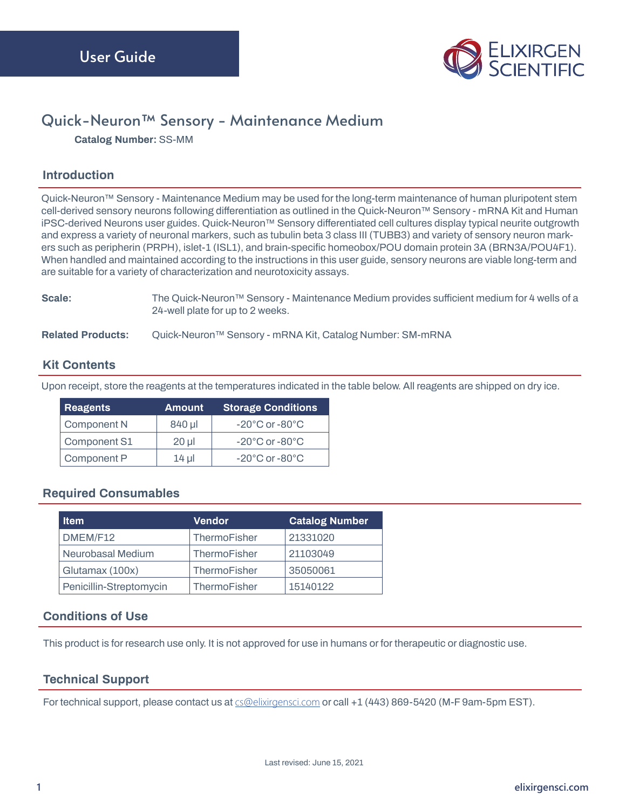

# Quick-Neuron™ Sensory - Maintenance Medium

**Catalog Number: SS-MM**

## **Introduction**

**Quick-Neuron™ Sensory - Maintenance Medium may be used for the long-term maintenance of human pluripotent stem cell-derived sensory neurons following differentiation as outlined in the Quick-Neuron™ Sensory - mRNA Kit and Human iPSC-derived Neurons user guides. Quick-Neuron™ Sensory differentiated cell cultures display typical neurite outgrowth and express a variety of neuronal markers, such as tubulin beta 3 class III (TUBB3) and variety of sensory neuron markers such as peripherin (PRPH), islet-1 (ISL1), and brain-specific homeobox/POU domain protein 3A (BRN3A/POU4F1). When handled and maintained according to the instructions in this user guide, sensory neurons are viable long-term and are suitable for a variety of characterization and neurotoxicity assays.**

#### **Scale: The Quick-Neuron™ Sensory - Maintenance Medium provides sufficient medium for 4 wells of a 24-well plate for up to 2 weeks.**

**Related Products: Quick-Neuron™ Sensory - mRNA Kit, Catalog Number: SM-mRNA**

### **Kit Contents**

**Upon receipt, store the reagents at the temperatures indicated in the table below. All reagents are shipped on dry ice.**

| <b>Reagents</b> | <b>Amount</b> | <b>Storage Conditions</b>          |
|-----------------|---------------|------------------------------------|
| Component N     | 840 µl        | $-20^{\circ}$ C or $-80^{\circ}$ C |
| Component S1    | $20$ ul       | $-20^{\circ}$ C or $-80^{\circ}$ C |
| Component P     | $14$ µ        | $-20^{\circ}$ C or $-80^{\circ}$ C |

#### **Required Consumables**

| <b>Item</b>             | <b>Vendor</b> | <b>Catalog Number</b> |
|-------------------------|---------------|-----------------------|
| DMEM/F12                | ThermoFisher  | 21331020              |
| Neurobasal Medium       | ThermoFisher  | 21103049              |
| Glutamax (100x)         | ThermoFisher  | 35050061              |
| Penicillin-Streptomycin | ThermoFisher  | 15140122              |

#### **Conditions of Use**

**This product is for research use only. It is not approved for use in humans or for therapeutic or diagnostic use.** 

#### **Technical Support**

**For technical support, please contact us at** cs@elixirgensci.com **or call +1 (443) 869-5420 (M-F 9am-5pm EST).**